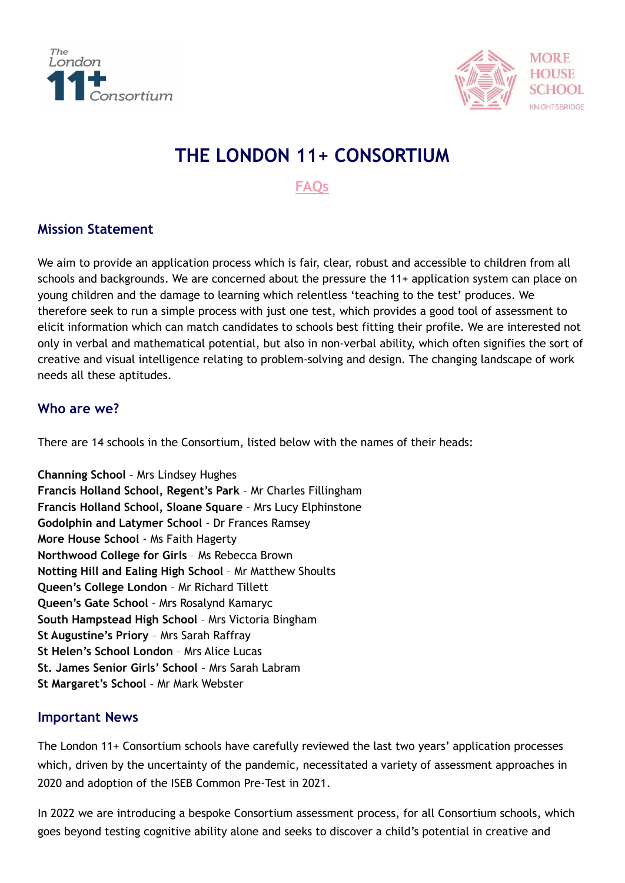



# **THE LONDON 11+ CONSORTIUM**

**FAQs**

# **Mission Statement**

We aim to provide an application process which is fair, clear, robust and accessible to children from all schools and backgrounds. We are concerned about the pressure the 11+ application system can place on young children and the damage to learning which relentless 'teaching to the test' produces. We therefore seek to run a simple process with just one test, which provides a good tool of assessment to elicit information which can match candidates to schools best fitting their profile. We are interested not only in verbal and mathematical potential, but also in non-verbal ability, which often signifies the sort of creative and visual intelligence relating to problem-solving and design. The changing landscape of work needs all these aptitudes.

# **Who are we?**

There are 14 schools in the Consortium, listed below with the names of their heads:

**Channing School** – Mrs Lindsey Hughes **Francis Holland School, Regent's Park** – Mr Charles Fillingham **Francis Holland School, Sloane Square** – Mrs Lucy Elphinstone **Godolphin and Latymer School** - Dr Frances Ramsey **More House School** - Ms Faith Hagerty **Northwood College for Girls** – Ms Rebecca Brown **Notting Hill and Ealing High School** – Mr Matthew Shoults **Queen's College London** – Mr Richard Tillett **Queen's Gate School** – Mrs Rosalynd Kamaryc **South Hampstead High School** – Mrs Victoria Bingham **St Augustine's Priory** – Mrs Sarah Raffray **St Helen's School London** – Mrs Alice Lucas **St. James Senior Girls' School** – Mrs Sarah Labram **St Margaret's School** – Mr Mark Webster

## **Important News**

The London 11+ Consortium schools have carefully reviewed the last two years' application processes which, driven by the uncertainty of the pandemic, necessitated a variety of assessment approaches in 2020 and adoption of the ISEB Common Pre-Test in 2021.

In 2022 we are introducing a bespoke Consortium assessment process, for all Consortium schools, which goes beyond testing cognitive ability alone and seeks to discover a child's potential in creative and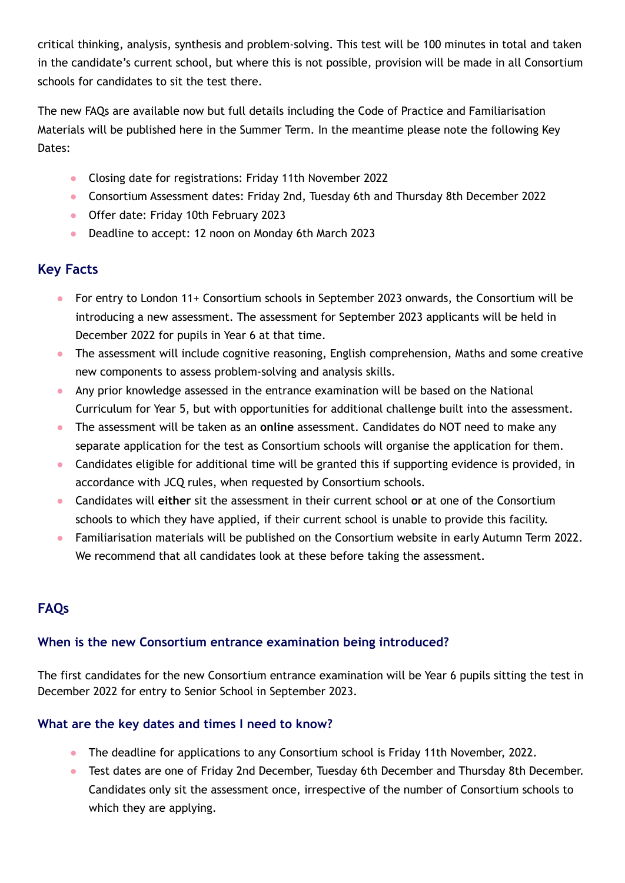critical thinking, analysis, synthesis and problem-solving. This test will be 100 minutes in total and taken in the candidate's current school, but where this is not possible, provision will be made in all Consortium schools for candidates to sit the test there.

The new FAQs are available now but full details including the Code of Practice and Familiarisation Materials will be published here in the Summer Term. In the meantime please note the following Key Dates:

- Closing date for registrations: Friday 11th November 2022
- Consortium Assessment dates: Friday 2nd, Tuesday 6th and Thursday 8th December 2022
- Offer date: Friday 10th February 2023
- Deadline to accept: 12 noon on Monday 6th March 2023

# **Key Facts**

- For entry to London 11+ Consortium schools in September 2023 onwards, the Consortium will be introducing a new assessment. The assessment for September 2023 applicants will be held in December 2022 for pupils in Year 6 at that time.
- The assessment will include cognitive reasoning, English comprehension, Maths and some creative new components to assess problem-solving and analysis skills.
- Any prior knowledge assessed in the entrance examination will be based on the National Curriculum for Year 5, but with opportunities for additional challenge built into the assessment.
- The assessment will be taken as an **online** assessment. Candidates do NOT need to make any separate application for the test as Consortium schools will organise the application for them.
- Candidates eligible for additional time will be granted this if supporting evidence is provided, in accordance with JCQ rules, when requested by Consortium schools.
- Candidates will **either** sit the assessment in their current school **or** at one of the Consortium schools to which they have applied, if their current school is unable to provide this facility.
- Familiarisation materials will be published on the Consortium website in early Autumn Term 2022. We recommend that all candidates look at these before taking the assessment.

# **FAQs**

# **When is the new Consortium entrance examination being introduced?**

The first candidates for the new Consortium entrance examination will be Year 6 pupils sitting the test in December 2022 for entry to Senior School in September 2023.

# **What are the key dates and times I need to know?**

- The deadline for applications to any Consortium school is Friday 11th November, 2022.
- Test dates are one of Friday 2nd December, Tuesday 6th December and Thursday 8th December. Candidates only sit the assessment once, irrespective of the number of Consortium schools to which they are applying.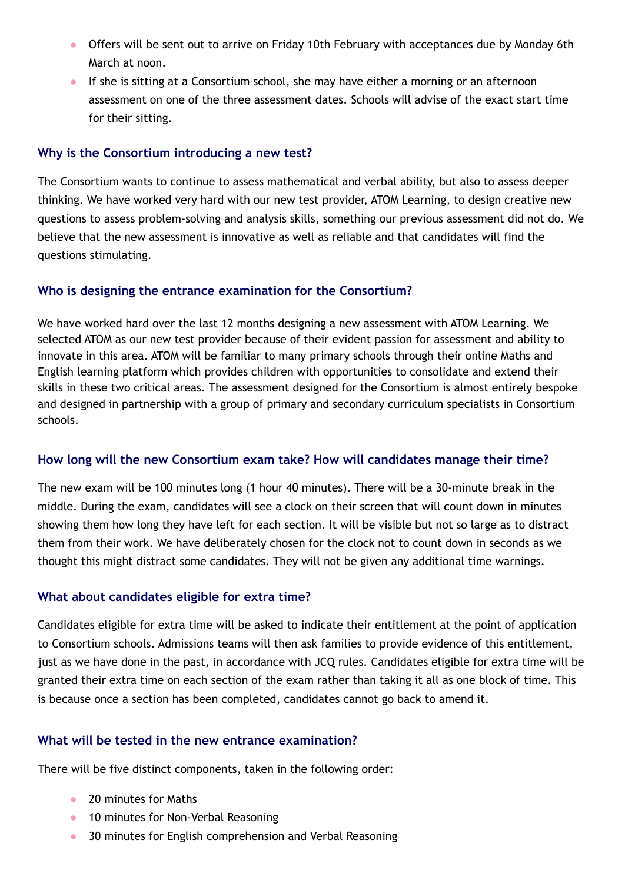- Offers will be sent out to arrive on Friday 10th February with acceptances due by Monday 6th March at noon.
- If she is sitting at a Consortium school, she may have either a morning or an afternoon assessment on one of the three assessment dates. Schools will advise of the exact start time for their sitting.

### **Why is the Consortium introducing a new test?**

The Consortium wants to continue to assess mathematical and verbal ability, but also to assess deeper thinking. We have worked very hard with our new test provider, ATOM Learning, to design creative new questions to assess problem-solving and analysis skills, something our previous assessment did not do. We believe that the new assessment is innovative as well as reliable and that candidates will find the questions stimulating.

### **Who is designing the entrance examination for the Consortium?**

We have worked hard over the last 12 months designing a new assessment with ATOM Learning. We selected ATOM as our new test provider because of their evident passion for assessment and ability to innovate in this area. ATOM will be familiar to many primary schools through their online Maths and English learning platform which provides children with opportunities to consolidate and extend their skills in these two critical areas. The assessment designed for the Consortium is almost entirely bespoke and designed in partnership with a group of primary and secondary curriculum specialists in Consortium schools.

### **How long will the new Consortium exam take? How will candidates manage their time?**

The new exam will be 100 minutes long (1 hour 40 minutes). There will be a 30-minute break in the middle. During the exam, candidates will see a clock on their screen that will count down in minutes showing them how long they have left for each section. It will be visible but not so large as to distract them from their work. We have deliberately chosen for the clock not to count down in seconds as we thought this might distract some candidates. They will not be given any additional time warnings.

#### **What about candidates eligible for extra time?**

Candidates eligible for extra time will be asked to indicate their entitlement at the point of application to Consortium schools. Admissions teams will then ask families to provide evidence of this entitlement, just as we have done in the past, in accordance with JCQ rules. Candidates eligible for extra time will be granted their extra time on each section of the exam rather than taking it all as one block of time. This is because once a section has been completed, candidates cannot go back to amend it.

### **What will be tested in the new entrance examination?**

There will be five distinct components, taken in the following order:

- 20 minutes for Maths
- 10 minutes for Non-Verbal Reasoning
- 30 minutes for English comprehension and Verbal Reasoning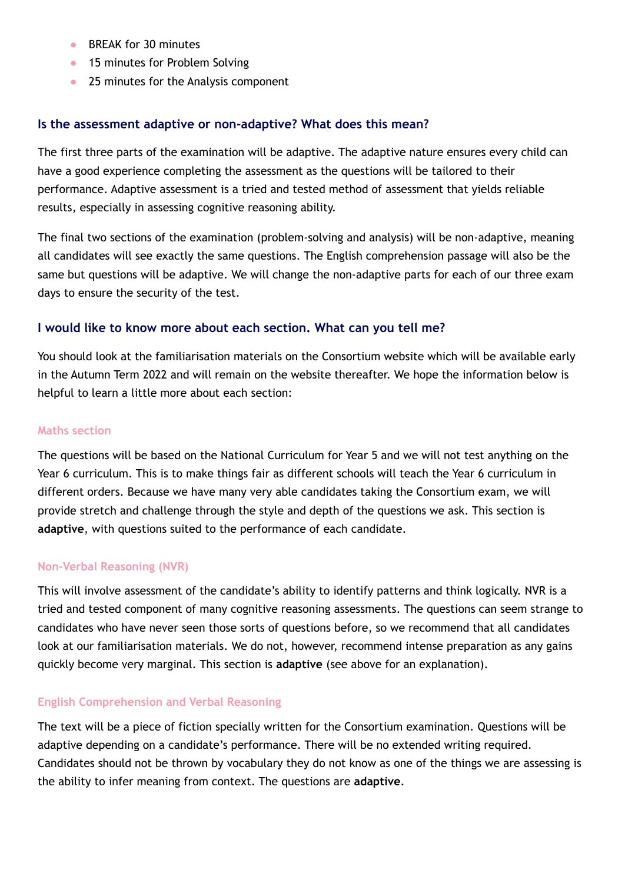- BREAK for 30 minutes
- 15 minutes for Problem Solving
- 25 minutes for the Analysis component

### **Is the assessment adaptive or non-adaptive? What does this mean?**

The first three parts of the examination will be adaptive. The adaptive nature ensures every child can have a good experience completing the assessment as the questions will be tailored to their performance. Adaptive assessment is a tried and tested method of assessment that yields reliable results, especially in assessing cognitive reasoning ability.

The final two sections of the examination (problem-solving and analysis) will be non-adaptive, meaning all candidates will see exactly the same questions. The English comprehension passage will also be the same but questions will be adaptive. We will change the non-adaptive parts for each of our three exam days to ensure the security of the test.

### **I would like to know more about each section. What can you tell me?**

You should look at the familiarisation materials on the Consortium website which will be available early in the Autumn Term 2022 and will remain on the website thereafter. We hope the information below is helpful to learn a little more about each section:

#### **Maths section**

The questions will be based on the National Curriculum for Year 5 and we will not test anything on the Year 6 curriculum. This is to make things fair as different schools will teach the Year 6 curriculum in different orders. Because we have many very able candidates taking the Consortium exam, we will provide stretch and challenge through the style and depth of the questions we ask. This section is **adaptive**, with questions suited to the performance of each candidate.

#### **Non-Verbal Reasoning (NVR)**

This will involve assessment of the candidate's ability to identify patterns and think logically. NVR is a tried and tested component of many cognitive reasoning assessments. The questions can seem strange to candidates who have never seen those sorts of questions before, so we recommend that all candidates look at our familiarisation materials. We do not, however, recommend intense preparation as any gains quickly become very marginal. This section is **adaptive** (see above for an explanation).

#### **English Comprehension and Verbal Reasoning**

The text will be a piece of fiction specially written for the Consortium examination. Questions will be adaptive depending on a candidate's performance. There will be no extended writing required. Candidates should not be thrown by vocabulary they do not know as one of the things we are assessing is the ability to infer meaning from context. The questions are **adaptive**.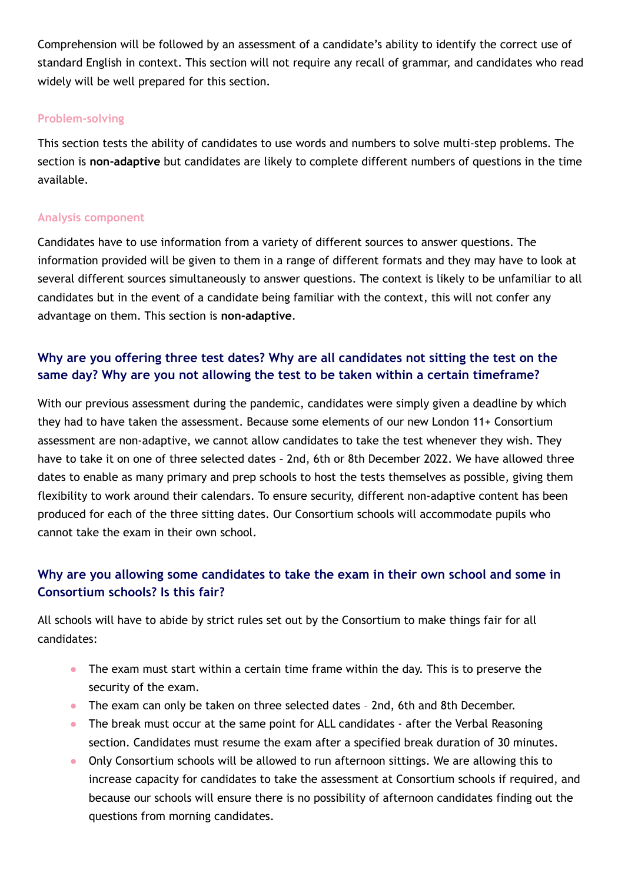Comprehension will be followed by an assessment of a candidate's ability to identify the correct use of standard English in context. This section will not require any recall of grammar, and candidates who read widely will be well prepared for this section.

### **Problem-solving**

This section tests the ability of candidates to use words and numbers to solve multi-step problems. The section is **non-adaptive** but candidates are likely to complete different numbers of questions in the time available.

### **Analysis component**

Candidates have to use information from a variety of different sources to answer questions. The information provided will be given to them in a range of different formats and they may have to look at several different sources simultaneously to answer questions. The context is likely to be unfamiliar to all candidates but in the event of a candidate being familiar with the context, this will not confer any advantage on them. This section is **non-adaptive**.

# **Why are you offering three test dates? Why are all candidates not sitting the test on the same day? Why are you not allowing the test to be taken within a certain timeframe?**

With our previous assessment during the pandemic, candidates were simply given a deadline by which they had to have taken the assessment. Because some elements of our new London 11+ Consortium assessment are non-adaptive, we cannot allow candidates to take the test whenever they wish. They have to take it on one of three selected dates – 2nd, 6th or 8th December 2022. We have allowed three dates to enable as many primary and prep schools to host the tests themselves as possible, giving them flexibility to work around their calendars. To ensure security, different non-adaptive content has been produced for each of the three sitting dates. Our Consortium schools will accommodate pupils who cannot take the exam in their own school.

# **Why are you allowing some candidates to take the exam in their own school and some in Consortium schools? Is this fair?**

All schools will have to abide by strict rules set out by the Consortium to make things fair for all candidates:

- The exam must start within a certain time frame within the day. This is to preserve the security of the exam.
- The exam can only be taken on three selected dates 2nd, 6th and 8th December.
- The break must occur at the same point for ALL candidates after the Verbal Reasoning section. Candidates must resume the exam after a specified break duration of 30 minutes.
- Only Consortium schools will be allowed to run afternoon sittings. We are allowing this to increase capacity for candidates to take the assessment at Consortium schools if required, and because our schools will ensure there is no possibility of afternoon candidates finding out the questions from morning candidates.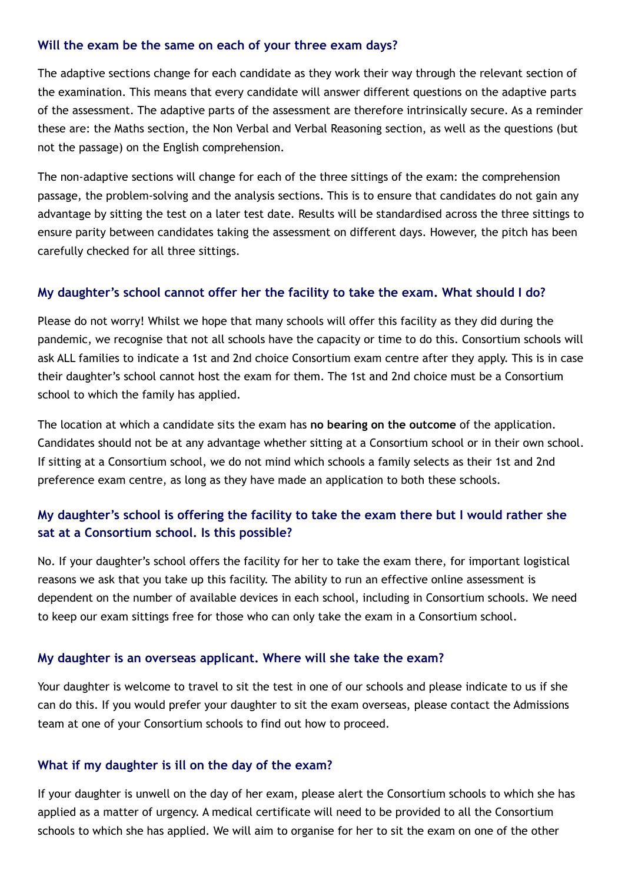#### **Will the exam be the same on each of your three exam days?**

The adaptive sections change for each candidate as they work their way through the relevant section of the examination. This means that every candidate will answer different questions on the adaptive parts of the assessment. The adaptive parts of the assessment are therefore intrinsically secure. As a reminder these are: the Maths section, the Non Verbal and Verbal Reasoning section, as well as the questions (but not the passage) on the English comprehension.

The non-adaptive sections will change for each of the three sittings of the exam: the comprehension passage, the problem-solving and the analysis sections. This is to ensure that candidates do not gain any advantage by sitting the test on a later test date. Results will be standardised across the three sittings to ensure parity between candidates taking the assessment on different days. However, the pitch has been carefully checked for all three sittings.

### **My daughter's school cannot offer her the facility to take the exam. What should I do?**

Please do not worry! Whilst we hope that many schools will offer this facility as they did during the pandemic, we recognise that not all schools have the capacity or time to do this. Consortium schools will ask ALL families to indicate a 1st and 2nd choice Consortium exam centre after they apply. This is in case their daughter's school cannot host the exam for them. The 1st and 2nd choice must be a Consortium school to which the family has applied.

The location at which a candidate sits the exam has **no bearing on the outcome** of the application. Candidates should not be at any advantage whether sitting at a Consortium school or in their own school. If sitting at a Consortium school, we do not mind which schools a family selects as their 1st and 2nd preference exam centre, as long as they have made an application to both these schools.

# **My daughter's school is offering the facility to take the exam there but I would rather she sat at a Consortium school. Is this possible?**

No. If your daughter's school offers the facility for her to take the exam there, for important logistical reasons we ask that you take up this facility. The ability to run an effective online assessment is dependent on the number of available devices in each school, including in Consortium schools. We need to keep our exam sittings free for those who can only take the exam in a Consortium school.

### **My daughter is an overseas applicant. Where will she take the exam?**

Your daughter is welcome to travel to sit the test in one of our schools and please indicate to us if she can do this. If you would prefer your daughter to sit the exam overseas, please contact the Admissions team at one of your Consortium schools to find out how to proceed.

### **What if my daughter is ill on the day of the exam?**

If your daughter is unwell on the day of her exam, please alert the Consortium schools to which she has applied as a matter of urgency. A medical certificate will need to be provided to all the Consortium schools to which she has applied. We will aim to organise for her to sit the exam on one of the other